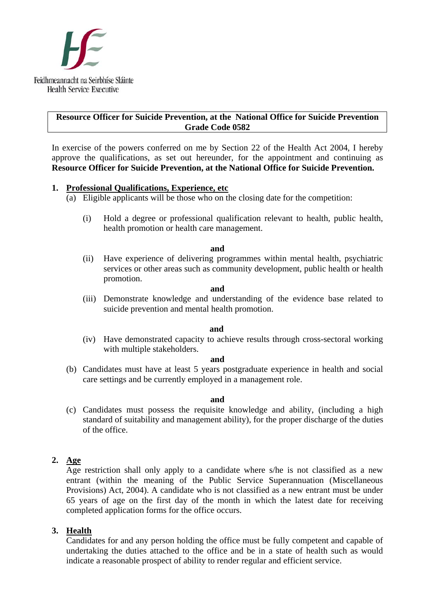

# **Resource Officer for Suicide Prevention, at the National Office for Suicide Prevention Grade Code 0582**

In exercise of the powers conferred on me by Section 22 of the Health Act 2004, I hereby approve the qualifications, as set out hereunder, for the appointment and continuing as **Resource Officer for Suicide Prevention, at the National Office for Suicide Prevention.**

# **1. Professional Qualifications, Experience, etc**

- $(a)$  Eligible applicants will be those who on the closing date for the competition:
	- (i) Hold a degree or professional qualification relevant to health, public health, health promotion or health care management.

#### **and**

(ii) Have experience of delivering programmes within mental health, psychiatric services or other areas such as community development, public health or health promotion.

#### **and**

(iii) Demonstrate knowledge and understanding of the evidence base related to suicide prevention and mental health promotion.

#### **and and**

(iv) Have demonstrated capacity to achieve results through cross-sectoral working with multiple stakeholders.

### **and**

(b) Candidates must have at least 5 years postgraduate experience in health and social care settings and be currently employed in a management role.

#### **and**

(c) Candidates must possess the requisite knowledge and ability, (including a high standard of suitability and management ability), for the proper discharge of the duties of the office.

# **2. Age**

Age restriction shall only apply to a candidate where s/he is not classified as a new entrant (within the meaning of the Public Service Superannuation (Miscellaneous Provisions) Act, 2004). A candidate who is not classified as a new entrant must be under 65 years of age on the first day of the month in which the latest date for receiving completed application forms for the office occurs.

# **3. Health**

Candidates for and any person holding the office must be fully competent and capable of undertaking the duties attached to the office and be in a state of health such as would indicate a reasonable prospect of ability to render regular and efficient service.